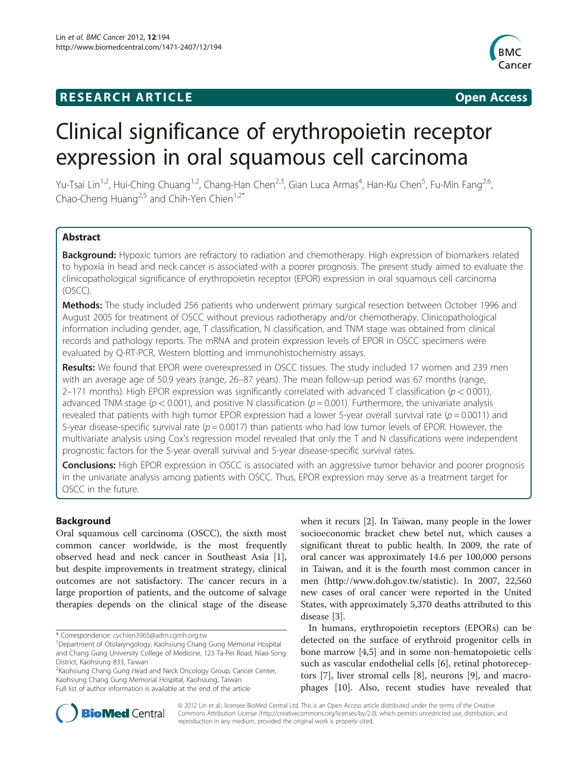# **RESEARCH ARTICLE Example 2018 12:00 Open Access**



# Clinical significance of erythropoietin receptor expression in oral squamous cell carcinoma

Yu-Tsai Lin<sup>1,2</sup>, Hui-Ching Chuang<sup>1,2</sup>, Chang-Han Chen<sup>2,3</sup>, Gian Luca Armas<sup>4</sup>, Han-Ku Chen<sup>5</sup>, Fu-Min Fang<sup>2,6</sup>, Chao-Cheng Huang<sup>2,5</sup> and Chih-Yen Chien<sup>1,2\*</sup>

# Abstract

Background: Hypoxic tumors are refractory to radiation and chemotherapy. High expression of biomarkers related to hypoxia in head and neck cancer is associated with a poorer prognosis. The present study aimed to evaluate the clinicopathological significance of erythropoietin receptor (EPOR) expression in oral squamous cell carcinoma (OSCC).

Methods: The study included 256 patients who underwent primary surgical resection between October 1996 and August 2005 for treatment of OSCC without previous radiotherapy and/or chemotherapy. Clinicopathological information including gender, age, T classification, N classification, and TNM stage was obtained from clinical records and pathology reports. The mRNA and protein expression levels of EPOR in OSCC specimens were evaluated by Q-RT-PCR, Western blotting and immunohistochemistry assays.

Results: We found that EPOR were overexpressed in OSCC tissues. The study included 17 women and 239 men with an average age of 50.9 years (range, 26–87 years). The mean follow-up period was 67 months (range, 2–171 months). High EPOR expression was significantly correlated with advanced T classification ( $p < 0.001$ ), advanced TNM stage ( $p < 0.001$ ), and positive N classification ( $p = 0.001$ ). Furthermore, the univariate analysis revealed that patients with high tumor EPOR expression had a lower 5-year overall survival rate ( $p = 0.0011$ ) and 5-year disease-specific survival rate ( $p = 0.0017$ ) than patients who had low tumor levels of EPOR. However, the multivariate analysis using Cox's regression model revealed that only the T and N classifications were independent prognostic factors for the 5-year overall survival and 5-year disease-specific survival rates.

**Conclusions:** High EPOR expression in OSCC is associated with an aggressive tumor behavior and poorer prognosis in the univariate analysis among patients with OSCC. Thus, EPOR expression may serve as a treatment target for OSCC in the future.

# Background

Oral squamous cell carcinoma (OSCC), the sixth most common cancer worldwide, is the most frequently observed head and neck cancer in Southeast Asia [\[1](#page-6-0)], but despite improvements in treatment strategy, clinical outcomes are not satisfactory. The cancer recurs in a large proportion of patients, and the outcome of salvage therapies depends on the clinical stage of the disease

<sup>2</sup>Kaohsiung Chang Gung Head and Neck Oncology Group, Cancer Center, Kaohsiung Chang Gung Memorial Hospital, Kaohsiung, Taiwan Full list of author information is available at the end of the article

when it recurs [\[2](#page-6-0)]. In Taiwan, many people in the lower socioeconomic bracket chew betel nut, which causes a significant threat to public health. In 2009, the rate of oral cancer was approximately 14.6 per 100,000 persons in Taiwan, and it is the fourth most common cancer in men (<http://www.doh.gov.tw/statistic>). In 2007, 22,560 new cases of oral cancer were reported in the United States, with approximately 5,370 deaths attributed to this disease [\[3](#page-6-0)].

In humans, erythropoietin receptors (EPORs) can be detected on the surface of erythroid progenitor cells in bone marrow [[4,5\]](#page-6-0) and in some non-hematopoietic cells such as vascular endothelial cells [\[6](#page-6-0)], retinal photoreceptors [\[7](#page-6-0)], liver stromal cells [\[8](#page-6-0)], neurons [\[9](#page-6-0)], and macrophages [\[10\]](#page-6-0). Also, recent studies have revealed that



© 2012 Lin et al.; licensee BioMed Central Ltd. This is an Open Access article distributed under the terms of the Creative Commons Attribution License [\(http://creativecommons.org/licenses/by/2.0\)](http://creativecommons.org/licenses/by/2.0), which permits unrestricted use, distribution, and reproduction in any medium, provided the original work is properly cited.

<sup>\*</sup> Correspondence: [cychien3965@adm.cgmh.org.tw](mailto:cychien3965@adm.cgmh.org.tw) <sup>1</sup>

Department of Otolaryngology, Kaohsiung Chang Gung Memorial Hospital and Chang Gung University College of Medicine, 123 Ta-Pei Road, Niao-Song District, Kaohsiung 833, Taiwan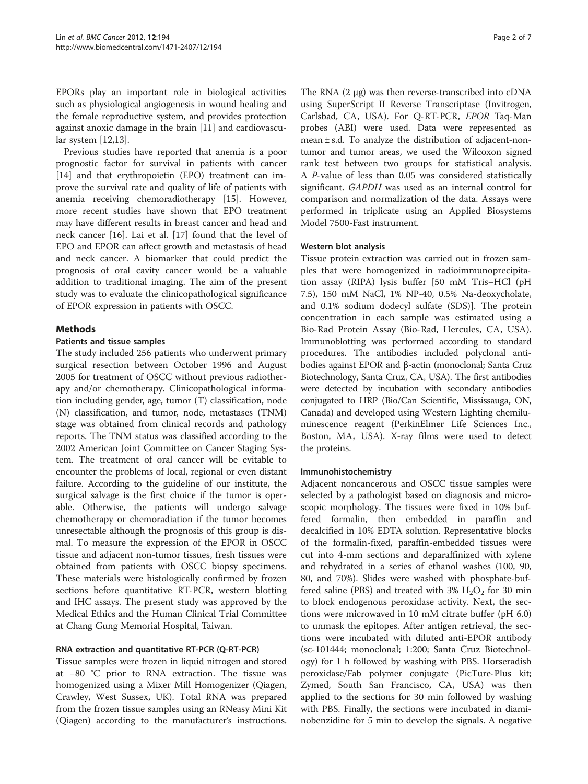EPORs play an important role in biological activities such as physiological angiogenesis in wound healing and the female reproductive system, and provides protection against anoxic damage in the brain [\[11](#page-6-0)] and cardiovascular system [\[12,13\]](#page-6-0).

Previous studies have reported that anemia is a poor prognostic factor for survival in patients with cancer [[14\]](#page-6-0) and that erythropoietin (EPO) treatment can improve the survival rate and quality of life of patients with anemia receiving chemoradiotherapy [\[15](#page-6-0)]. However, more recent studies have shown that EPO treatment may have different results in breast cancer and head and neck cancer [[16\]](#page-6-0). Lai et al. [[17\]](#page-6-0) found that the level of EPO and EPOR can affect growth and metastasis of head and neck cancer. A biomarker that could predict the prognosis of oral cavity cancer would be a valuable addition to traditional imaging. The aim of the present study was to evaluate the clinicopathological significance of EPOR expression in patients with OSCC.

# Methods

## Patients and tissue samples

The study included 256 patients who underwent primary surgical resection between October 1996 and August 2005 for treatment of OSCC without previous radiotherapy and/or chemotherapy. Clinicopathological information including gender, age, tumor (T) classification, node (N) classification, and tumor, node, metastases (TNM) stage was obtained from clinical records and pathology reports. The TNM status was classified according to the 2002 American Joint Committee on Cancer Staging System. The treatment of oral cancer will be evitable to encounter the problems of local, regional or even distant failure. According to the guideline of our institute, the surgical salvage is the first choice if the tumor is operable. Otherwise, the patients will undergo salvage chemotherapy or chemoradiation if the tumor becomes unresectable although the prognosis of this group is dismal. To measure the expression of the EPOR in OSCC tissue and adjacent non-tumor tissues, fresh tissues were obtained from patients with OSCC biopsy specimens. These materials were histologically confirmed by frozen sections before quantitative RT-PCR, western blotting and IHC assays. The present study was approved by the Medical Ethics and the Human Clinical Trial Committee at Chang Gung Memorial Hospital, Taiwan.

## RNA extraction and quantitative RT-PCR (Q-RT-PCR)

Tissue samples were frozen in liquid nitrogen and stored at −80 °C prior to RNA extraction. The tissue was homogenized using a Mixer Mill Homogenizer (Qiagen, Crawley, West Sussex, UK). Total RNA was prepared from the frozen tissue samples using an RNeasy Mini Kit (Qiagen) according to the manufacturer's instructions.

The RNA (2 μg) was then reverse-transcribed into cDNA using SuperScript II Reverse Transcriptase (Invitrogen, Carlsbad, CA, USA). For Q-RT-PCR, EPOR Taq-Man probes (ABI) were used. Data were represented as mean ± s.d. To analyze the distribution of adjacent-nontumor and tumor areas, we used the Wilcoxon signed rank test between two groups for statistical analysis. A P-value of less than 0.05 was considered statistically significant. GAPDH was used as an internal control for comparison and normalization of the data. Assays were performed in triplicate using an Applied Biosystems Model 7500-Fast instrument.

#### Western blot analysis

Tissue protein extraction was carried out in frozen samples that were homogenized in radioimmunoprecipitation assay (RIPA) lysis buffer [50 mM Tris–HCl (pH 7.5), 150 mM NaCl, 1% NP-40, 0.5% Na-deoxycholate, and 0.1% sodium dodecyl sulfate (SDS)]. The protein concentration in each sample was estimated using a Bio-Rad Protein Assay (Bio-Rad, Hercules, CA, USA). Immunoblotting was performed according to standard procedures. The antibodies included polyclonal antibodies against EPOR and β-actin (monoclonal; Santa Cruz Biotechnology, Santa Cruz, CA, USA). The first antibodies were detected by incubation with secondary antibodies conjugated to HRP (Bio/Can Scientific, Mississauga, ON, Canada) and developed using Western Lighting chemiluminescence reagent (PerkinElmer Life Sciences Inc., Boston, MA, USA). X-ray films were used to detect the proteins.

#### Immunohistochemistry

Adjacent noncancerous and OSCC tissue samples were selected by a pathologist based on diagnosis and microscopic morphology. The tissues were fixed in 10% buffered formalin, then embedded in paraffin and decalcified in 10% EDTA solution. Representative blocks of the formalin-fixed, paraffin-embedded tissues were cut into 4-mm sections and deparaffinized with xylene and rehydrated in a series of ethanol washes (100, 90, 80, and 70%). Slides were washed with phosphate-buffered saline (PBS) and treated with  $3\%$  H<sub>2</sub>O<sub>2</sub> for 30 min to block endogenous peroxidase activity. Next, the sections were microwaved in 10 mM citrate buffer (pH 6.0) to unmask the epitopes. After antigen retrieval, the sections were incubated with diluted anti-EPOR antibody (sc-101444; monoclonal; 1:200; Santa Cruz Biotechnology) for 1 h followed by washing with PBS. Horseradish peroxidase/Fab polymer conjugate (PicTure-Plus kit; Zymed, South San Francisco, CA, USA) was then applied to the sections for 30 min followed by washing with PBS. Finally, the sections were incubated in diaminobenzidine for 5 min to develop the signals. A negative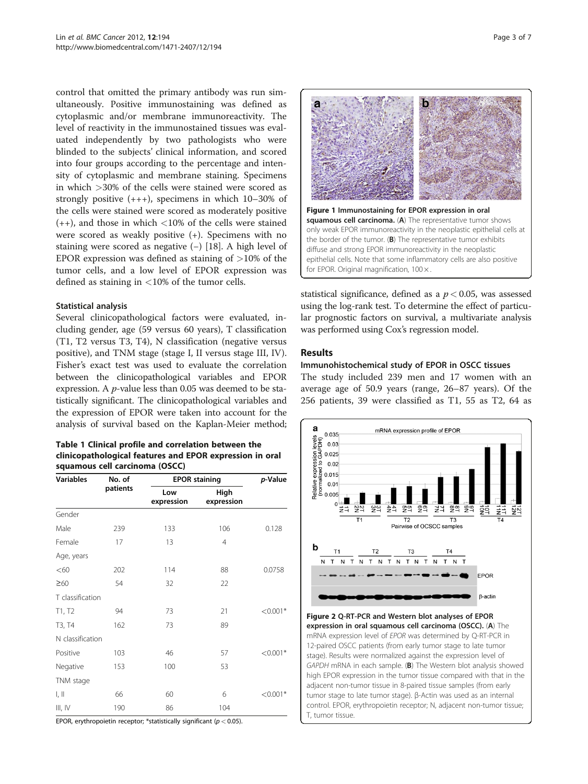<span id="page-2-0"></span>control that omitted the primary antibody was run simultaneously. Positive immunostaining was defined as cytoplasmic and/or membrane immunoreactivity. The level of reactivity in the immunostained tissues was evaluated independently by two pathologists who were blinded to the subjects' clinical information, and scored into four groups according to the percentage and intensity of cytoplasmic and membrane staining. Specimens in which >30% of the cells were stained were scored as strongly positive (+++), specimens in which 10–30% of the cells were stained were scored as moderately positive (++), and those in which <10% of the cells were stained were scored as weakly positive (+). Specimens with no staining were scored as negative (−) [\[18\]](#page-6-0). A high level of EPOR expression was defined as staining of  $>10\%$  of the tumor cells, and a low level of EPOR expression was defined as staining in <10% of the tumor cells.

#### Statistical analysis

Several clinicopathological factors were evaluated, including gender, age (59 versus 60 years), T classification (T1, T2 versus T3, T4), N classification (negative versus positive), and TNM stage (stage I, II versus stage III, IV). Fisher's exact test was used to evaluate the correlation between the clinicopathological variables and EPOR expression. A p-value less than 0.05 was deemed to be statistically significant. The clinicopathological variables and the expression of EPOR were taken into account for the analysis of survival based on the Kaplan-Meier method;

| Table 1 Clinical profile and correlation between the     |  |
|----------------------------------------------------------|--|
| clinicopathological features and EPOR expression in oral |  |
| squamous cell carcinoma (OSCC)                           |  |

| <b>Variables</b> | No. of   | <b>EPOR staining</b> | p-Value            |            |
|------------------|----------|----------------------|--------------------|------------|
|                  | patients | Low<br>expression    | High<br>expression |            |
| Gender           |          |                      |                    |            |
| Male             | 239      | 133                  | 106                | 0.128      |
| Female           | 17       | 13                   | 4                  |            |
| Age, years       |          |                      |                    |            |
| $<$ 60           | 202      | 114                  | 88                 | 0.0758     |
| $\geq 60$        | 54       | 32                   | 22                 |            |
| T classification |          |                      |                    |            |
| T1, T2           | 94       | 73                   | 21                 | $< 0.001*$ |
| T3, T4           | 162      | 73                   | 89                 |            |
| N classification |          |                      |                    |            |
| Positive         | 103      | 46                   | 57                 | $< 0.001*$ |
| Negative         | 153      | 100                  | 53                 |            |
| TNM stage        |          |                      |                    |            |
| 1, II            | 66       | 60                   | 6                  | $< 0.001*$ |
| III, IV          | 190      | 86                   | 104                |            |

EPOR, erythropoietin receptor; \*statistically significant ( $p < 0.05$ ).



squamous cell carcinoma. (A) The representative tumor shows only weak EPOR immunoreactivity in the neoplastic epithelial cells at the border of the tumor.  $(B)$  The representative tumor exhibits diffuse and strong EPOR immunoreactivity in the neoplastic epithelial cells. Note that some inflammatory cells are also positive for EPOR. Original magnification, 100 x.

statistical significance, defined as a  $p < 0.05$ , was assessed using the log-rank test. To determine the effect of particular prognostic factors on survival, a multivariate analysis was performed using Cox's regression model.

#### **Results**

#### Immunohistochemical study of EPOR in OSCC tissues

The study included 239 men and 17 women with an average age of 50.9 years (range, 26–87 years). Of the 256 patients, 39 were classified as T1, 55 as T2, 64 as



expression in oral squamous cell carcinoma (OSCC). (A) The mRNA expression level of EPOR was determined by Q-RT-PCR in 12-paired OSCC patients (from early tumor stage to late tumor stage). Results were normalized against the expression level of GAPDH mRNA in each sample. (B) The Western blot analysis showed high EPOR expression in the tumor tissue compared with that in the adjacent non-tumor tissue in 8-paired tissue samples (from early tumor stage to late tumor stage). β-Actin was used as an internal control. EPOR, erythropoietin receptor; N, adjacent non-tumor tissue; T, tumor tissue.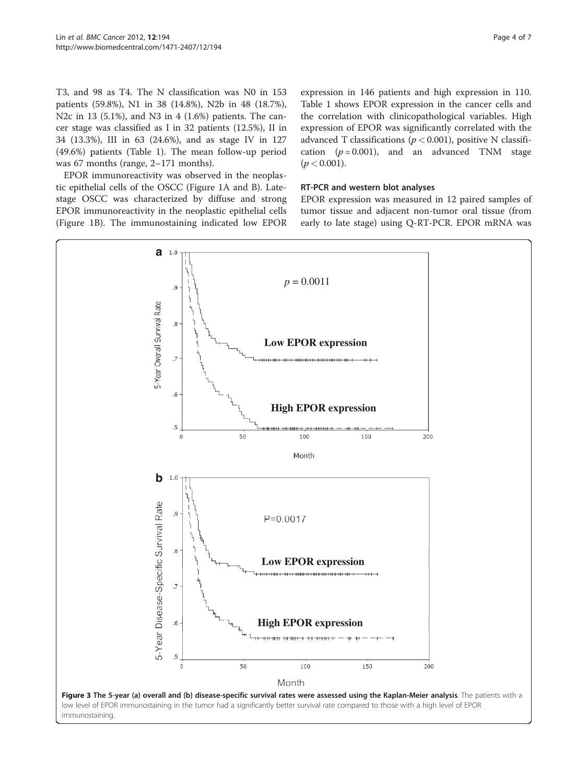<span id="page-3-0"></span>T3, and 98 as T4. The N classification was N0 in 153 patients (59.8%), N1 in 38 (14.8%), N2b in 48 (18.7%), N2c in 13 (5.1%), and N3 in 4 (1.6%) patients. The cancer stage was classified as I in 32 patients (12.5%), II in 34 (13.3%), III in 63 (24.6%), and as stage IV in 127 (49.6%) patients (Table [1\)](#page-2-0). The mean follow-up period was 67 months (range, 2–171 months).

EPOR immunoreactivity was observed in the neoplastic epithelial cells of the OSCC (Figure [1A and B\)](#page-2-0). Latestage OSCC was characterized by diffuse and strong EPOR immunoreactivity in the neoplastic epithelial cells (Figure [1B](#page-2-0)). The immunostaining indicated low EPOR expression in 146 patients and high expression in 110. Table [1](#page-2-0) shows EPOR expression in the cancer cells and the correlation with clinicopathological variables. High expression of EPOR was significantly correlated with the advanced T classifications ( $p < 0.001$ ), positive N classification  $(p = 0.001)$ , and an advanced TNM stage  $(p < 0.001)$ .

#### RT-PCR and western blot analyses

EPOR expression was measured in 12 paired samples of tumor tissue and adjacent non-tumor oral tissue (from early to late stage) using Q-RT-PCR. EPOR mRNA was

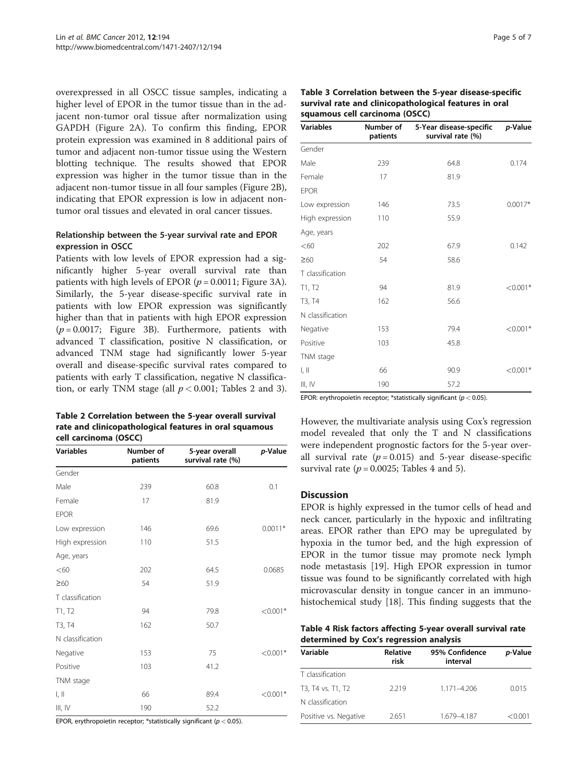overexpressed in all OSCC tissue samples, indicating a higher level of EPOR in the tumor tissue than in the adjacent non-tumor oral tissue after normalization using GAPDH (Figure [2A](#page-2-0)). To confirm this finding, EPOR protein expression was examined in 8 additional pairs of tumor and adjacent non-tumor tissue using the Western blotting technique. The results showed that EPOR expression was higher in the tumor tissue than in the adjacent non-tumor tissue in all four samples (Figure [2B](#page-2-0)), indicating that EPOR expression is low in adjacent nontumor oral tissues and elevated in oral cancer tissues.

# Relationship between the 5-year survival rate and EPOR expression in OSCC

Patients with low levels of EPOR expression had a significantly higher 5-year overall survival rate than patients with high levels of EPOR ( $p = 0.0011$ ; Figure [3A](#page-3-0)). Similarly, the 5-year disease-specific survival rate in patients with low EPOR expression was significantly higher than that in patients with high EPOR expression  $(p = 0.0017;$  Figure [3B\)](#page-3-0). Furthermore, patients with advanced T classification, positive N classification, or advanced TNM stage had significantly lower 5-year overall and disease-specific survival rates compared to patients with early T classification, negative N classification, or early TNM stage (all  $p < 0.001$ ; Tables 2 and 3).

| Table 2 Correlation between the 5-year overall survival |
|---------------------------------------------------------|
| rate and clinicopathological features in oral squamous  |
| cell carcinoma (OSCC)                                   |

| <b>Variables</b> | Number of<br>patients | 5-year overall<br>survival rate (%) | p-Value    |
|------------------|-----------------------|-------------------------------------|------------|
| Gender           |                       |                                     |            |
| Male             | 239                   | 60.8                                | 0.1        |
| Female           | 17                    | 81.9                                |            |
| <b>EPOR</b>      |                       |                                     |            |
| Low expression   | 146                   | 69.6                                | $0.0011*$  |
| High expression  | 110                   | 51.5                                |            |
| Age, years       |                       |                                     |            |
| $60$             | 202                   | 64.5                                | 0.0685     |
| $\geq 60$        | 54                    | 51.9                                |            |
| T classification |                       |                                     |            |
| T1, T2           | 94                    | 79.8                                | $< 0.001*$ |
| T3, T4           | 162                   | 50.7                                |            |
| N classification |                       |                                     |            |
| Negative         | 153                   | 75                                  | $< 0.001*$ |
| Positive         | 103                   | 41.2                                |            |
| TNM stage        |                       |                                     |            |
| 1, II            | 66                    | 89.4                                | $< 0.001*$ |
| III, IV          | 190                   | 52.2                                |            |

EPOR, erythropoietin receptor; \*statistically significant ( $p < 0.05$ ).

| Table 3 Correlation between the 5-year disease-specific |
|---------------------------------------------------------|
| survival rate and clinicopathological features in oral  |
| squamous cell carcinoma (OSCC)                          |

| <b>Variables</b> | Number of<br>patients | 5-Year disease-specific<br>survival rate (%) | p-Value    |
|------------------|-----------------------|----------------------------------------------|------------|
| Gender           |                       |                                              |            |
| Male             | 239                   | 64.8                                         | 0.174      |
| Female           | 17                    | 81.9                                         |            |
| <b>EPOR</b>      |                       |                                              |            |
| Low expression   | 146                   | 73.5                                         | $0.0017*$  |
| High expression  | 110                   | 55.9                                         |            |
| Age, years       |                       |                                              |            |
| $60$             | 202                   | 67.9                                         | 0.142      |
| $\geq 60$        | 54                    | 58.6                                         |            |
| T classification |                       |                                              |            |
| T1, T2           | 94                    | 81.9                                         | $< 0.001*$ |
| T3, T4           | 162                   | 56.6                                         |            |
| N classification |                       |                                              |            |
| Negative         | 153                   | 79.4                                         | $< 0.001*$ |
| Positive         | 103                   | 45.8                                         |            |
| TNM stage        |                       |                                              |            |
| I, II            | 66                    | 90.9                                         | $< 0.001*$ |
| III, IV          | 190                   | 57.2                                         |            |

EPOR: erythropoietin receptor; \*statistically significant ( $p < 0.05$ ).

However, the multivariate analysis using Cox's regression model revealed that only the T and N classifications were independent prognostic factors for the 5-year overall survival rate  $(p = 0.015)$  and 5-year disease-specific survival rate ( $p = 0.0025$ ; Tables 4 and [5](#page-5-0)).

# **Discussion**

EPOR is highly expressed in the tumor cells of head and neck cancer, particularly in the hypoxic and infiltrating areas. EPOR rather than EPO may be upregulated by hypoxia in the tumor bed, and the high expression of EPOR in the tumor tissue may promote neck lymph node metastasis [\[19\]](#page-6-0). High EPOR expression in tumor tissue was found to be significantly correlated with high microvascular density in tongue cancer in an immunohistochemical study [[18\]](#page-6-0). This finding suggests that the

|  | Table 4 Risk factors affecting 5-year overall survival rate |  |  |
|--|-------------------------------------------------------------|--|--|
|  | determined by Cox's regression analysis                     |  |  |

| Variable              | <b>Relative</b><br>risk | 95% Confidence<br>interval | p-Value       |  |
|-----------------------|-------------------------|----------------------------|---------------|--|
| T classification      |                         |                            |               |  |
| T3, T4 vs. T1, T2     | 2.219                   | 1.171-4.206                | 0.015         |  |
| N classification      |                         |                            |               |  |
| Positive vs. Negative | 2.651                   | 1.679-4.187                | $<$ 0.001 $-$ |  |
|                       |                         |                            |               |  |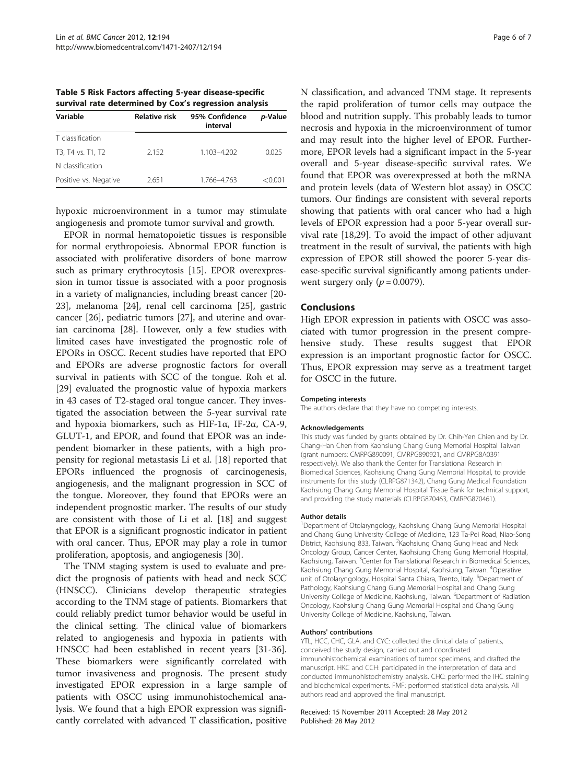<span id="page-5-0"></span>Table 5 Risk Factors affecting 5-year disease-specific survival rate determined by Cox's regression analysis

| 95% Confidence<br>p-Value |
|---------------------------|
|                           |
|                           |
| 0.025                     |
|                           |
| < 0.001                   |
|                           |

hypoxic microenvironment in a tumor may stimulate angiogenesis and promote tumor survival and growth.

EPOR in normal hematopoietic tissues is responsible for normal erythropoiesis. Abnormal EPOR function is associated with proliferative disorders of bone marrow such as primary erythrocytosis [[15\]](#page-6-0). EPOR overexpression in tumor tissue is associated with a poor prognosis in a variety of malignancies, including breast cancer [\[20-](#page-6-0) [23\]](#page-6-0), melanoma [[24\]](#page-6-0), renal cell carcinoma [\[25](#page-6-0)], gastric cancer [[26\]](#page-6-0), pediatric tumors [\[27](#page-6-0)], and uterine and ovarian carcinoma [[28\]](#page-6-0). However, only a few studies with limited cases have investigated the prognostic role of EPORs in OSCC. Recent studies have reported that EPO and EPORs are adverse prognostic factors for overall survival in patients with SCC of the tongue. Roh et al. [[29\]](#page-6-0) evaluated the prognostic value of hypoxia markers in 43 cases of T2-staged oral tongue cancer. They investigated the association between the 5-year survival rate and hypoxia biomarkers, such as HIF-1α, IF-2α, CA-9, GLUT-1, and EPOR, and found that EPOR was an independent biomarker in these patients, with a high propensity for regional metastasis Li et al. [[18\]](#page-6-0) reported that EPORs influenced the prognosis of carcinogenesis, angiogenesis, and the malignant progression in SCC of the tongue. Moreover, they found that EPORs were an independent prognostic marker. The results of our study are consistent with those of Li et al. [\[18](#page-6-0)] and suggest that EPOR is a significant prognostic indicator in patient with oral cancer. Thus, EPOR may play a role in tumor proliferation, apoptosis, and angiogenesis [\[30](#page-6-0)].

The TNM staging system is used to evaluate and predict the prognosis of patients with head and neck SCC (HNSCC). Clinicians develop therapeutic strategies according to the TNM stage of patients. Biomarkers that could reliably predict tumor behavior would be useful in the clinical setting. The clinical value of biomarkers related to angiogenesis and hypoxia in patients with HNSCC had been established in recent years [\[31-36](#page-6-0)]. These biomarkers were significantly correlated with tumor invasiveness and prognosis. The present study investigated EPOR expression in a large sample of patients with OSCC using immunohistochemical analysis. We found that a high EPOR expression was significantly correlated with advanced T classification, positive

N classification, and advanced TNM stage. It represents the rapid proliferation of tumor cells may outpace the blood and nutrition supply. This probably leads to tumor necrosis and hypoxia in the microenvironment of tumor and may result into the higher level of EPOR. Furthermore, EPOR levels had a significant impact in the 5-year overall and 5-year disease-specific survival rates. We found that EPOR was overexpressed at both the mRNA and protein levels (data of Western blot assay) in OSCC tumors. Our findings are consistent with several reports showing that patients with oral cancer who had a high levels of EPOR expression had a poor 5-year overall survival rate [[18,29\]](#page-6-0). To avoid the impact of other adjuvant treatment in the result of survival, the patients with high expression of EPOR still showed the poorer 5-year disease-specific survival significantly among patients underwent surgery only ( $p = 0.0079$ ).

#### Conclusions

High EPOR expression in patients with OSCC was associated with tumor progression in the present comprehensive study. These results suggest that EPOR expression is an important prognostic factor for OSCC. Thus, EPOR expression may serve as a treatment target for OSCC in the future.

#### Competing interests

The authors declare that they have no competing interests.

#### Acknowledgements

This study was funded by grants obtained by Dr. Chih-Yen Chien and by Dr. Chang-Han Chen from Kaohsiung Chang Gung Memorial Hospital Taiwan (grant numbers: CMRPG890091, CMRPG890921, and CMRPG8A0391 respectively). We also thank the Center for Translational Research in Biomedical Sciences, Kaohsiung Chang Gung Memorial Hospital, to provide instruments for this study (CLRPG871342), Chang Gung Medical Foundation Kaohsiung Chang Gung Memorial Hospital Tissue Bank for technical support, and providing the study materials (CLRPG870463, CMRPG870461).

#### Author details

<sup>1</sup>Department of Otolaryngology, Kaohsiung Chang Gung Memorial Hospital and Chang Gung University College of Medicine, 123 Ta-Pei Road, Niao-Song District, Kaohsiung 833, Taiwan. <sup>2</sup>Kaohsiung Chang Gung Head and Neck Oncology Group, Cancer Center, Kaohsiung Chang Gung Memorial Hospital, Kaohsiung, Taiwan. <sup>3</sup>Center for Translational Research in Biomedical Sciences, Kaohsiung Chang Gung Memorial Hospital, Kaohsiung, Taiwan. <sup>4</sup>Operative unit of Otolaryngology, Hospital Santa Chiara, Trento, Italy. <sup>5</sup>Department of Pathology, Kaohsiung Chang Gung Memorial Hospital and Chang Gung University College of Medicine, Kaohsiung, Taiwan. <sup>6</sup>Department of Radiation Oncology, Kaohsiung Chang Gung Memorial Hospital and Chang Gung University College of Medicine, Kaohsiung, Taiwan.

#### Authors' contributions

YTL, HCC, CHC, GLA, and CYC: collected the clinical data of patients, conceived the study design, carried out and coordinated immunohistochemical examinations of tumor specimens, and drafted the manuscript. HKC and CCH: participated in the interpretation of data and conducted immunohistochemistry analysis. CHC: performed the IHC staining and biochemical experiments. FMF: performed statistical data analysis. All authors read and approved the final manuscript.

#### Received: 15 November 2011 Accepted: 28 May 2012 Published: 28 May 2012